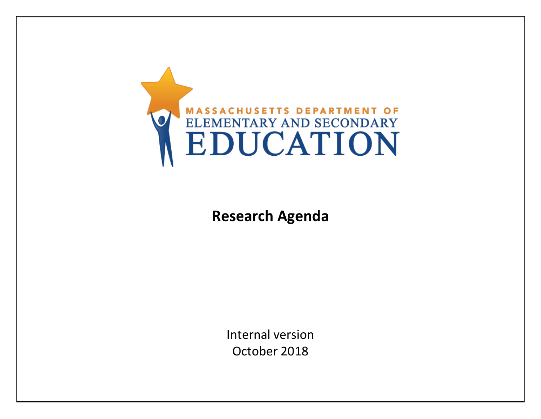

# **Research Agenda**

Internal version October 2018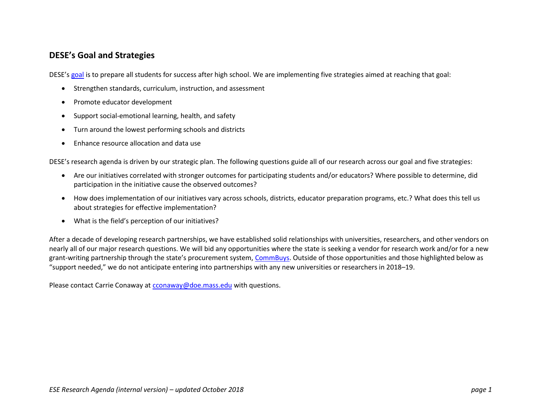#### **DESE's Goal and Strategies**

DESE's [goal](http://www.doe.mass.edu/commissioner/) is to prepare all students for success after high school. We are implementing five strategies aimed at reaching that goal:

- Strengthen standards, curriculum, instruction, and assessment
- Promote educator development
- Support social-emotional learning, health, and safety
- Turn around the lowest performing schools and districts
- Enhance resource allocation and data use

DESE's research agenda is driven by our strategic plan. The following questions guide all of our research across our goal and five strategies:

- Are our initiatives correlated with stronger outcomes for participating students and/or educators? Where possible to determine, did participation in the initiative cause the observed outcomes?
- How does implementation of our initiatives vary across schools, districts, educator preparation programs, etc.? What does this tell us about strategies for effective implementation?
- What is the field's perception of our initiatives?

After a decade of developing research partnerships, we have established solid relationships with universities, researchers, and other vendors on nearly all of our major research questions. We will bid any opportunities where the state is seeking a vendor for research work and/or for a new grant-writing partnership through the state's procurement system, [CommBuys.](https://www.commbuys.com/bso/) Outside of those opportunities and those highlighted below as "support needed," we do not anticipate entering into partnerships with any new universities or researchers in 2018–19.

Please contact Carrie Conaway at [cconaway@doe.mass.edu](mailto:cconaway@doe.mass.edu) with questions.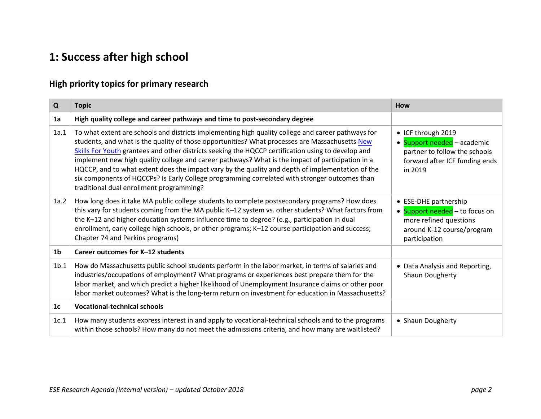# **1: Success after high school**

### **High priority topics for primary research**

| Q                | <b>Topic</b>                                                                                                                                                                                                                                                                                                                                                                                                                                                                                                                                                                                                                                                    | How                                                                                                                              |
|------------------|-----------------------------------------------------------------------------------------------------------------------------------------------------------------------------------------------------------------------------------------------------------------------------------------------------------------------------------------------------------------------------------------------------------------------------------------------------------------------------------------------------------------------------------------------------------------------------------------------------------------------------------------------------------------|----------------------------------------------------------------------------------------------------------------------------------|
| 1a               | High quality college and career pathways and time to post-secondary degree                                                                                                                                                                                                                                                                                                                                                                                                                                                                                                                                                                                      |                                                                                                                                  |
| 1a.1             | To what extent are schools and districts implementing high quality college and career pathways for<br>students, and what is the quality of those opportunities? What processes are Massachusetts New<br>Skills For Youth grantees and other districts seeking the HQCCP certification using to develop and<br>implement new high quality college and career pathways? What is the impact of participation in a<br>HQCCP, and to what extent does the impact vary by the quality and depth of implementation of the<br>six components of HQCCPs? Is Early College programming correlated with stronger outcomes than<br>traditional dual enrollment programming? | • ICF through 2019<br>· Support needed - academic<br>partner to follow the schools<br>forward after ICF funding ends<br>in 2019  |
| 1a.2             | How long does it take MA public college students to complete postsecondary programs? How does<br>this vary for students coming from the MA public K-12 system vs. other students? What factors from<br>the K-12 and higher education systems influence time to degree? (e.g., participation in dual<br>enrollment, early college high schools, or other programs; K-12 course participation and success;<br>Chapter 74 and Perkins programs)                                                                                                                                                                                                                    | • ESE-DHE partnership<br>• Support needed - to focus on<br>more refined questions<br>around K-12 course/program<br>participation |
| 1 <sub>b</sub>   | Career outcomes for K-12 students                                                                                                                                                                                                                                                                                                                                                                                                                                                                                                                                                                                                                               |                                                                                                                                  |
| 1 <sub>b.1</sub> | How do Massachusetts public school students perform in the labor market, in terms of salaries and<br>industries/occupations of employment? What programs or experiences best prepare them for the<br>labor market, and which predict a higher likelihood of Unemployment Insurance claims or other poor<br>labor market outcomes? What is the long-term return on investment for education in Massachusetts?                                                                                                                                                                                                                                                    | • Data Analysis and Reporting,<br>Shaun Dougherty                                                                                |
| 1 <sub>c</sub>   | <b>Vocational-technical schools</b>                                                                                                                                                                                                                                                                                                                                                                                                                                                                                                                                                                                                                             |                                                                                                                                  |
| 1c.1             | How many students express interest in and apply to vocational-technical schools and to the programs<br>within those schools? How many do not meet the admissions criteria, and how many are waitlisted?                                                                                                                                                                                                                                                                                                                                                                                                                                                         | • Shaun Dougherty                                                                                                                |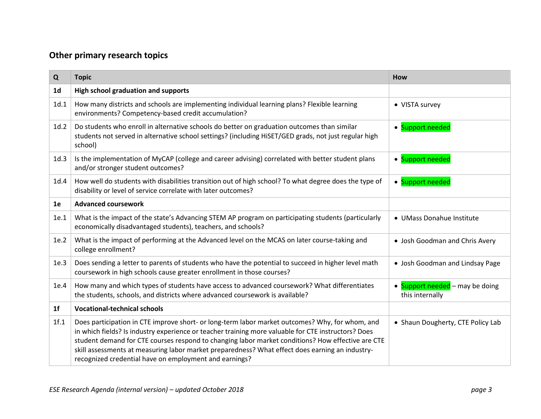| Q              | <b>Topic</b>                                                                                                                                                                                                                                                                                                                                                                                                                                                             | How                                                           |
|----------------|--------------------------------------------------------------------------------------------------------------------------------------------------------------------------------------------------------------------------------------------------------------------------------------------------------------------------------------------------------------------------------------------------------------------------------------------------------------------------|---------------------------------------------------------------|
| 1 <sub>d</sub> | High school graduation and supports                                                                                                                                                                                                                                                                                                                                                                                                                                      |                                                               |
| 1d.1           | How many districts and schools are implementing individual learning plans? Flexible learning<br>environments? Competency-based credit accumulation?                                                                                                                                                                                                                                                                                                                      | • VISTA survey                                                |
| 1d.2           | Do students who enroll in alternative schools do better on graduation outcomes than similar<br>students not served in alternative school settings? (including HiSET/GED grads, not just regular high<br>school)                                                                                                                                                                                                                                                          | • Support needed                                              |
| 1d.3           | Is the implementation of MyCAP (college and career advising) correlated with better student plans<br>and/or stronger student outcomes?                                                                                                                                                                                                                                                                                                                                   | • Support needed                                              |
| 1d.4           | How well do students with disabilities transition out of high school? To what degree does the type of<br>disability or level of service correlate with later outcomes?                                                                                                                                                                                                                                                                                                   | • Support needed                                              |
| 1e             | <b>Advanced coursework</b>                                                                                                                                                                                                                                                                                                                                                                                                                                               |                                                               |
| 1e.1           | What is the impact of the state's Advancing STEM AP program on participating students (particularly<br>economically disadvantaged students), teachers, and schools?                                                                                                                                                                                                                                                                                                      | • UMass Donahue Institute                                     |
| 1e.2           | What is the impact of performing at the Advanced level on the MCAS on later course-taking and<br>college enrollment?                                                                                                                                                                                                                                                                                                                                                     | • Josh Goodman and Chris Avery                                |
| 1e.3           | Does sending a letter to parents of students who have the potential to succeed in higher level math<br>coursework in high schools cause greater enrollment in those courses?                                                                                                                                                                                                                                                                                             | • Josh Goodman and Lindsay Page                               |
| 1e.4           | How many and which types of students have access to advanced coursework? What differentiates<br>the students, schools, and districts where advanced coursework is available?                                                                                                                                                                                                                                                                                             | Support needed - may be doing<br>$\bullet$<br>this internally |
| 1 <sup>f</sup> | <b>Vocational-technical schools</b>                                                                                                                                                                                                                                                                                                                                                                                                                                      |                                                               |
| 1f.1           | Does participation in CTE improve short- or long-term labor market outcomes? Why, for whom, and<br>in which fields? Is industry experience or teacher training more valuable for CTE instructors? Does<br>student demand for CTE courses respond to changing labor market conditions? How effective are CTE<br>skill assessments at measuring labor market preparedness? What effect does earning an industry-<br>recognized credential have on employment and earnings? | • Shaun Dougherty, CTE Policy Lab                             |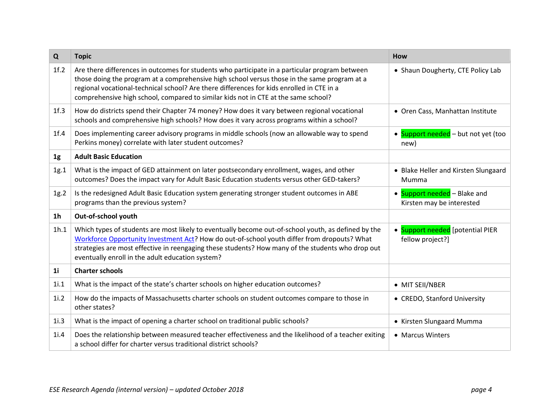| Q              | <b>Topic</b>                                                                                                                                                                                                                                                                                                                                                                      | How                                                       |
|----------------|-----------------------------------------------------------------------------------------------------------------------------------------------------------------------------------------------------------------------------------------------------------------------------------------------------------------------------------------------------------------------------------|-----------------------------------------------------------|
| 1f.2           | Are there differences in outcomes for students who participate in a particular program between<br>those doing the program at a comprehensive high school versus those in the same program at a<br>regional vocational-technical school? Are there differences for kids enrolled in CTE in a<br>comprehensive high school, compared to similar kids not in CTE at the same school? | • Shaun Dougherty, CTE Policy Lab                         |
| 1f.3           | How do districts spend their Chapter 74 money? How does it vary between regional vocational<br>schools and comprehensive high schools? How does it vary across programs within a school?                                                                                                                                                                                          | • Oren Cass, Manhattan Institute                          |
| 1f.4           | Does implementing career advisory programs in middle schools (now an allowable way to spend<br>Perkins money) correlate with later student outcomes?                                                                                                                                                                                                                              | • Support needed - but not yet (too<br>new)               |
| 1 <sub>g</sub> | <b>Adult Basic Education</b>                                                                                                                                                                                                                                                                                                                                                      |                                                           |
| 1g.1           | What is the impact of GED attainment on later postsecondary enrollment, wages, and other<br>outcomes? Does the impact vary for Adult Basic Education students versus other GED-takers?                                                                                                                                                                                            | • Blake Heller and Kirsten Slungaard<br>Mumma             |
| 1g.2           | Is the redesigned Adult Basic Education system generating stronger student outcomes in ABE<br>programs than the previous system?                                                                                                                                                                                                                                                  | • Support needed - Blake and<br>Kirsten may be interested |
| 1 <sub>h</sub> | Out-of-school youth                                                                                                                                                                                                                                                                                                                                                               |                                                           |
| 1h.1           | Which types of students are most likely to eventually become out-of-school youth, as defined by the<br>Workforce Opportunity Investment Act? How do out-of-school youth differ from dropouts? What<br>strategies are most effective in reengaging these students? How many of the students who drop out<br>eventually enroll in the adult education system?                       | • Support needed [potential PIER<br>fellow project?]      |
| 1 <sub>i</sub> | <b>Charter schools</b>                                                                                                                                                                                                                                                                                                                                                            |                                                           |
| 1i.1           | What is the impact of the state's charter schools on higher education outcomes?                                                                                                                                                                                                                                                                                                   | • MIT SEII/NBER                                           |
| 1i.2           | How do the impacts of Massachusetts charter schools on student outcomes compare to those in<br>other states?                                                                                                                                                                                                                                                                      | • CREDO, Stanford University                              |
| 1i.3           | What is the impact of opening a charter school on traditional public schools?                                                                                                                                                                                                                                                                                                     | • Kirsten Slungaard Mumma                                 |
| 1i.4           | Does the relationship between measured teacher effectiveness and the likelihood of a teacher exiting<br>a school differ for charter versus traditional district schools?                                                                                                                                                                                                          | • Marcus Winters                                          |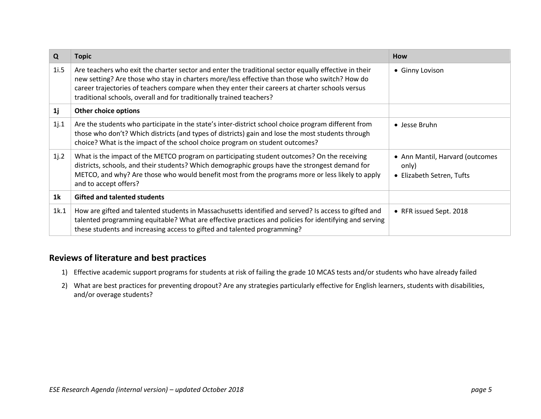| Q              | <b>Topic</b>                                                                                                                                                                                                                                                                                                                                                                     | <b>How</b>                                                            |
|----------------|----------------------------------------------------------------------------------------------------------------------------------------------------------------------------------------------------------------------------------------------------------------------------------------------------------------------------------------------------------------------------------|-----------------------------------------------------------------------|
| 1i.5           | Are teachers who exit the charter sector and enter the traditional sector equally effective in their<br>new setting? Are those who stay in charters more/less effective than those who switch? How do<br>career trajectories of teachers compare when they enter their careers at charter schools versus<br>traditional schools, overall and for traditionally trained teachers? | • Ginny Lovison                                                       |
| 1j             | Other choice options                                                                                                                                                                                                                                                                                                                                                             |                                                                       |
| 1j.1           | Are the students who participate in the state's inter-district school choice program different from<br>those who don't? Which districts (and types of districts) gain and lose the most students through<br>choice? What is the impact of the school choice program on student outcomes?                                                                                         | • Jesse Bruhn                                                         |
| 1j.2           | What is the impact of the METCO program on participating student outcomes? On the receiving<br>districts, schools, and their students? Which demographic groups have the strongest demand for<br>METCO, and why? Are those who would benefit most from the programs more or less likely to apply<br>and to accept offers?                                                        | • Ann Mantil, Harvard (outcomes<br>only)<br>• Elizabeth Setren, Tufts |
| 1 <sup>k</sup> | <b>Gifted and talented students</b>                                                                                                                                                                                                                                                                                                                                              |                                                                       |
| 1k.1           | How are gifted and talented students in Massachusetts identified and served? Is access to gifted and<br>talented programming equitable? What are effective practices and policies for identifying and serving<br>these students and increasing access to gifted and talented programming?                                                                                        | • RFR issued Sept. 2018                                               |

- 1) Effective academic support programs for students at risk of failing the grade 10 MCAS tests and/or students who have already failed
- 2) What are best practices for preventing dropout? Are any strategies particularly effective for English learners, students with disabilities, and/or overage students?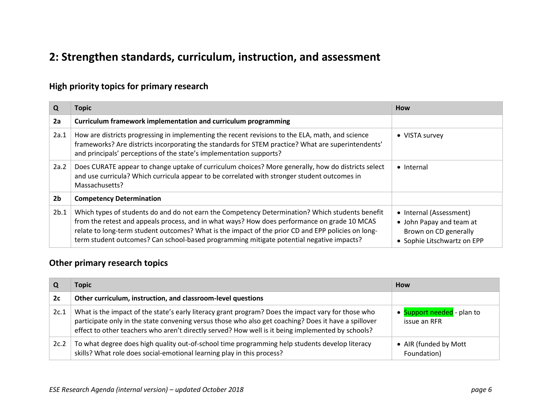### **2: Strengthen standards, curriculum, instruction, and assessment**

### **High priority topics for primary research**

| Q              | Topic                                                                                                                                                                                                                                                                                                                                                                                             | How                                                                                                         |
|----------------|---------------------------------------------------------------------------------------------------------------------------------------------------------------------------------------------------------------------------------------------------------------------------------------------------------------------------------------------------------------------------------------------------|-------------------------------------------------------------------------------------------------------------|
| 2a             | Curriculum framework implementation and curriculum programming                                                                                                                                                                                                                                                                                                                                    |                                                                                                             |
| 2a.1           | How are districts progressing in implementing the recent revisions to the ELA, math, and science<br>frameworks? Are districts incorporating the standards for STEM practice? What are superintendents'<br>and principals' perceptions of the state's implementation supports?                                                                                                                     | • VISTA survey                                                                                              |
| 2a.2           | Does CURATE appear to change uptake of curriculum choices? More generally, how do districts select<br>and use curricula? Which curricula appear to be correlated with stronger student outcomes in<br>Massachusetts?                                                                                                                                                                              | • Internal                                                                                                  |
| 2 <sub>b</sub> | <b>Competency Determination</b>                                                                                                                                                                                                                                                                                                                                                                   |                                                                                                             |
| 2b.1           | Which types of students do and do not earn the Competency Determination? Which students benefit<br>from the retest and appeals process, and in what ways? How does performance on grade 10 MCAS<br>relate to long-term student outcomes? What is the impact of the prior CD and EPP policies on long-<br>term student outcomes? Can school-based programming mitigate potential negative impacts? | • Internal (Assessment)<br>• John Papay and team at<br>Brown on CD generally<br>• Sophie Litschwartz on EPP |

|      | Topic                                                                                                                                                                                                                                                                                                           | <b>How</b>                                 |
|------|-----------------------------------------------------------------------------------------------------------------------------------------------------------------------------------------------------------------------------------------------------------------------------------------------------------------|--------------------------------------------|
| 2c   | Other curriculum, instruction, and classroom-level questions                                                                                                                                                                                                                                                    |                                            |
| 2c.1 | What is the impact of the state's early literacy grant program? Does the impact vary for those who<br>participate only in the state convening versus those who also get coaching? Does it have a spillover<br>effect to other teachers who aren't directly served? How well is it being implemented by schools? | • Support needed - plan to<br>issue an RFR |
| 2c.2 | To what degree does high quality out-of-school time programming help students develop literacy<br>skills? What role does social-emotional learning play in this process?                                                                                                                                        | • AIR (funded by Mott<br>Foundation)       |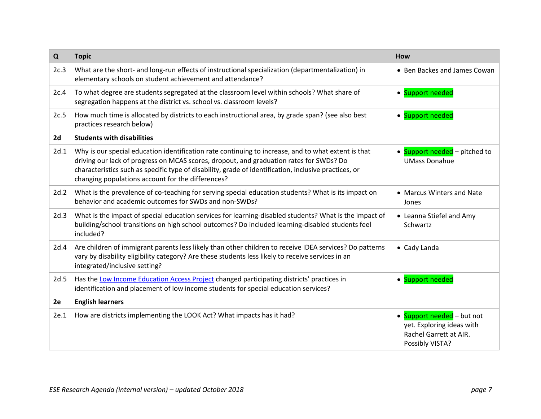| Q    | <b>Topic</b>                                                                                                                                                                                                                                                                                                                                                 | How                                                                                                  |
|------|--------------------------------------------------------------------------------------------------------------------------------------------------------------------------------------------------------------------------------------------------------------------------------------------------------------------------------------------------------------|------------------------------------------------------------------------------------------------------|
| 2c.3 | What are the short- and long-run effects of instructional specialization (departmentalization) in<br>elementary schools on student achievement and attendance?                                                                                                                                                                                               | • Ben Backes and James Cowan                                                                         |
| 2c.4 | To what degree are students segregated at the classroom level within schools? What share of<br>segregation happens at the district vs. school vs. classroom levels?                                                                                                                                                                                          | • Support needed                                                                                     |
| 2c.5 | How much time is allocated by districts to each instructional area, by grade span? (see also best<br>practices research below)                                                                                                                                                                                                                               | • Support needed                                                                                     |
| 2d   | <b>Students with disabilities</b>                                                                                                                                                                                                                                                                                                                            |                                                                                                      |
| 2d.1 | Why is our special education identification rate continuing to increase, and to what extent is that<br>driving our lack of progress on MCAS scores, dropout, and graduation rates for SWDs? Do<br>characteristics such as specific type of disability, grade of identification, inclusive practices, or<br>changing populations account for the differences? | • Support needed - pitched to<br><b>UMass Donahue</b>                                                |
| 2d.2 | What is the prevalence of co-teaching for serving special education students? What is its impact on<br>behavior and academic outcomes for SWDs and non-SWDs?                                                                                                                                                                                                 | • Marcus Winters and Nate<br>Jones                                                                   |
| 2d.3 | What is the impact of special education services for learning-disabled students? What is the impact of<br>building/school transitions on high school outcomes? Do included learning-disabled students feel<br>included?                                                                                                                                      | • Leanna Stiefel and Amy<br>Schwartz                                                                 |
| 2d.4 | Are children of immigrant parents less likely than other children to receive IDEA services? Do patterns<br>vary by disability eligibility category? Are these students less likely to receive services in an<br>integrated/inclusive setting?                                                                                                                | • Cady Landa                                                                                         |
| 2d.5 | Has the Low Income Education Access Project changed participating districts' practices in<br>identification and placement of low income students for special education services?                                                                                                                                                                             | • Support needed                                                                                     |
| 2e   | <b>English learners</b>                                                                                                                                                                                                                                                                                                                                      |                                                                                                      |
| 2e.1 | How are districts implementing the LOOK Act? What impacts has it had?                                                                                                                                                                                                                                                                                        | • Support needed - but not<br>yet. Exploring ideas with<br>Rachel Garrett at AIR.<br>Possibly VISTA? |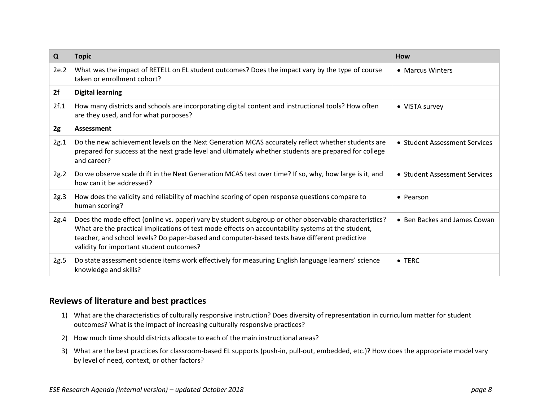| Q    | <b>Topic</b>                                                                                                                                                                                                                                                                                                                                             | <b>How</b>                    |
|------|----------------------------------------------------------------------------------------------------------------------------------------------------------------------------------------------------------------------------------------------------------------------------------------------------------------------------------------------------------|-------------------------------|
| 2e.2 | What was the impact of RETELL on EL student outcomes? Does the impact vary by the type of course<br>taken or enrollment cohort?                                                                                                                                                                                                                          | • Marcus Winters              |
| 2f   | <b>Digital learning</b>                                                                                                                                                                                                                                                                                                                                  |                               |
| 2f.1 | How many districts and schools are incorporating digital content and instructional tools? How often<br>are they used, and for what purposes?                                                                                                                                                                                                             | • VISTA survey                |
| 2g   | Assessment                                                                                                                                                                                                                                                                                                                                               |                               |
| 2g.1 | Do the new achievement levels on the Next Generation MCAS accurately reflect whether students are<br>prepared for success at the next grade level and ultimately whether students are prepared for college<br>and career?                                                                                                                                | • Student Assessment Services |
| 2g.2 | Do we observe scale drift in the Next Generation MCAS test over time? If so, why, how large is it, and<br>how can it be addressed?                                                                                                                                                                                                                       | • Student Assessment Services |
| 2g.3 | How does the validity and reliability of machine scoring of open response questions compare to<br>human scoring?                                                                                                                                                                                                                                         | • Pearson                     |
| 2g.4 | Does the mode effect (online vs. paper) vary by student subgroup or other observable characteristics?<br>What are the practical implications of test mode effects on accountability systems at the student,<br>teacher, and school levels? Do paper-based and computer-based tests have different predictive<br>validity for important student outcomes? | • Ben Backes and James Cowan  |
| 2g.5 | Do state assessment science items work effectively for measuring English language learners' science<br>knowledge and skills?                                                                                                                                                                                                                             | $\bullet$ TERC                |

- 1) What are the characteristics of culturally responsive instruction? Does diversity of representation in curriculum matter for student outcomes? What is the impact of increasing culturally responsive practices?
- 2) How much time should districts allocate to each of the main instructional areas?
- 3) What are the best practices for classroom-based EL supports (push-in, pull-out, embedded, etc.)? How does the appropriate model vary by level of need, context, or other factors?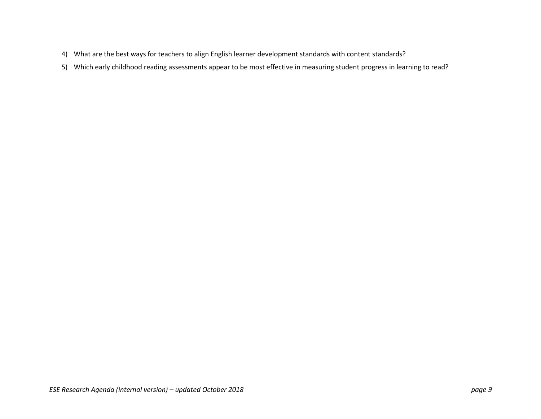- 4) What are the best ways for teachers to align English learner development standards with content standards?
- 5) Which early childhood reading assessments appear to be most effective in measuring student progress in learning to read?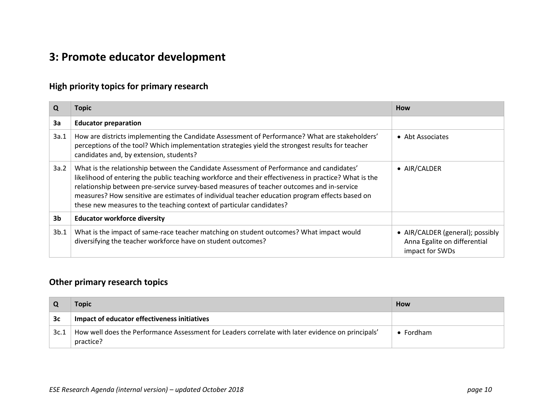# **3: Promote educator development**

### **High priority topics for primary research**

| Q              | Topic                                                                                                                                                                                                                                                                                                                                                                                                                                                                    | <b>How</b>                                                                          |
|----------------|--------------------------------------------------------------------------------------------------------------------------------------------------------------------------------------------------------------------------------------------------------------------------------------------------------------------------------------------------------------------------------------------------------------------------------------------------------------------------|-------------------------------------------------------------------------------------|
| 3a             | <b>Educator preparation</b>                                                                                                                                                                                                                                                                                                                                                                                                                                              |                                                                                     |
| 3a.1           | How are districts implementing the Candidate Assessment of Performance? What are stakeholders'<br>perceptions of the tool? Which implementation strategies yield the strongest results for teacher<br>candidates and, by extension, students?                                                                                                                                                                                                                            | • Abt Associates                                                                    |
| 3a.2           | What is the relationship between the Candidate Assessment of Performance and candidates'<br>likelihood of entering the public teaching workforce and their effectiveness in practice? What is the<br>relationship between pre-service survey-based measures of teacher outcomes and in-service<br>measures? How sensitive are estimates of individual teacher education program effects based on<br>these new measures to the teaching context of particular candidates? | • AIR/CALDER                                                                        |
| 3 <sub>b</sub> | <b>Educator workforce diversity</b>                                                                                                                                                                                                                                                                                                                                                                                                                                      |                                                                                     |
| 3b.1           | What is the impact of same-race teacher matching on student outcomes? What impact would<br>diversifying the teacher workforce have on student outcomes?                                                                                                                                                                                                                                                                                                                  | • AIR/CALDER (general); possibly<br>Anna Egalite on differential<br>impact for SWDs |

|      | Topic                                                                                                          | <b>How</b>        |
|------|----------------------------------------------------------------------------------------------------------------|-------------------|
| 3c   | Impact of educator effectiveness initiatives                                                                   |                   |
| 3c.1 | How well does the Performance Assessment for Leaders correlate with later evidence on principals'<br>practice? | $\bullet$ Fordham |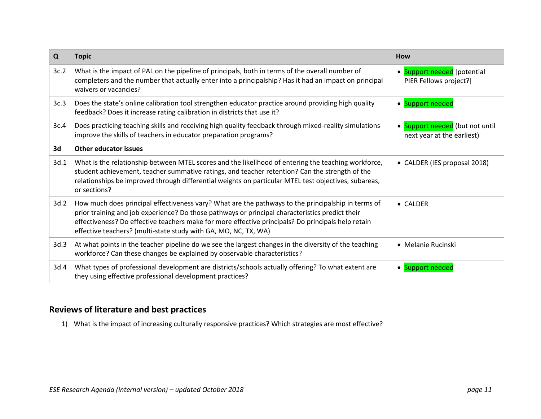| Q    | <b>Topic</b>                                                                                                                                                                                                                                                                                                                                                                   | <b>How</b>                                                               |
|------|--------------------------------------------------------------------------------------------------------------------------------------------------------------------------------------------------------------------------------------------------------------------------------------------------------------------------------------------------------------------------------|--------------------------------------------------------------------------|
| 3c.2 | What is the impact of PAL on the pipeline of principals, both in terms of the overall number of<br>completers and the number that actually enter into a principalship? Has it had an impact on principal<br>waivers or vacancies?                                                                                                                                              | Support needed [potential<br>$\bullet$<br>PIER Fellows project?]         |
| 3c.3 | Does the state's online calibration tool strengthen educator practice around providing high quality<br>feedback? Does it increase rating calibration in districts that use it?                                                                                                                                                                                                 | Support needed<br>$\bullet$                                              |
| 3c.4 | Does practicing teaching skills and receiving high quality feedback through mixed-reality simulations<br>improve the skills of teachers in educator preparation programs?                                                                                                                                                                                                      | Support needed (but not until<br>$\bullet$<br>next year at the earliest) |
| 3d   | <b>Other educator issues</b>                                                                                                                                                                                                                                                                                                                                                   |                                                                          |
| 3d.1 | What is the relationship between MTEL scores and the likelihood of entering the teaching workforce,<br>student achievement, teacher summative ratings, and teacher retention? Can the strength of the<br>relationships be improved through differential weights on particular MTEL test objectives, subareas,<br>or sections?                                                  | CALDER (IES proposal 2018)<br>$\bullet$                                  |
| 3d.2 | How much does principal effectiveness vary? What are the pathways to the principalship in terms of<br>prior training and job experience? Do those pathways or principal characteristics predict their<br>effectiveness? Do effective teachers make for more effective principals? Do principals help retain<br>effective teachers? (multi-state study with GA, MO, NC, TX, WA) | $\bullet$ CALDER                                                         |
| 3d.3 | At what points in the teacher pipeline do we see the largest changes in the diversity of the teaching<br>workforce? Can these changes be explained by observable characteristics?                                                                                                                                                                                              | • Melanie Rucinski                                                       |
| 3d.4 | What types of professional development are districts/schools actually offering? To what extent are<br>they using effective professional development practices?                                                                                                                                                                                                                 | Support needed<br>$\bullet$                                              |

1) What is the impact of increasing culturally responsive practices? Which strategies are most effective?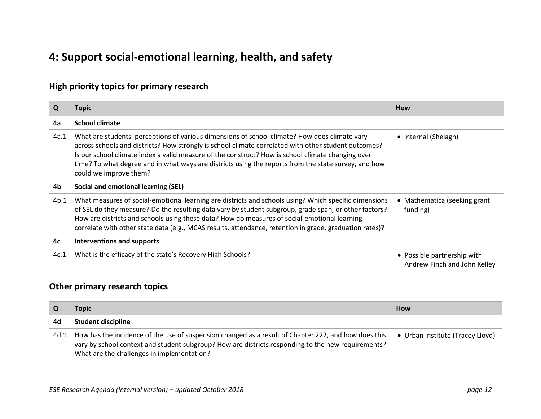# **4: Support social-emotional learning, health, and safety**

### **High priority topics for primary research**

| Q    | Topic                                                                                                                                                                                                                                                                                                                                                                                                                                        | <b>How</b>                                                  |
|------|----------------------------------------------------------------------------------------------------------------------------------------------------------------------------------------------------------------------------------------------------------------------------------------------------------------------------------------------------------------------------------------------------------------------------------------------|-------------------------------------------------------------|
| 4a   | <b>School climate</b>                                                                                                                                                                                                                                                                                                                                                                                                                        |                                                             |
| 4a.1 | What are students' perceptions of various dimensions of school climate? How does climate vary<br>across schools and districts? How strongly is school climate correlated with other student outcomes?<br>Is our school climate index a valid measure of the construct? How is school climate changing over<br>time? To what degree and in what ways are districts using the reports from the state survey, and how<br>could we improve them? | • Internal (Shelagh)                                        |
| 4b   | <b>Social and emotional learning (SEL)</b>                                                                                                                                                                                                                                                                                                                                                                                                   |                                                             |
| 4b.1 | What measures of social-emotional learning are districts and schools using? Which specific dimensions<br>of SEL do they measure? Do the resulting data vary by student subgroup, grade span, or other factors?<br>How are districts and schools using these data? How do measures of social-emotional learning<br>correlate with other state data (e.g., MCAS results, attendance, retention in grade, graduation rates)?                    | • Mathematica (seeking grant<br>funding)                    |
| 4c   | Interventions and supports                                                                                                                                                                                                                                                                                                                                                                                                                   |                                                             |
| 4c.1 | What is the efficacy of the state's Recovery High Schools?                                                                                                                                                                                                                                                                                                                                                                                   | • Possible partnership with<br>Andrew Finch and John Kelley |

|      | Topic                                                                                                                                                                                                                                                    | <b>How</b>                       |
|------|----------------------------------------------------------------------------------------------------------------------------------------------------------------------------------------------------------------------------------------------------------|----------------------------------|
| 4d   | <b>Student discipline</b>                                                                                                                                                                                                                                |                                  |
| 4d.1 | How has the incidence of the use of suspension changed as a result of Chapter 222, and how does this<br>vary by school context and student subgroup? How are districts responding to the new requirements?<br>What are the challenges in implementation? | • Urban Institute (Tracey Lloyd) |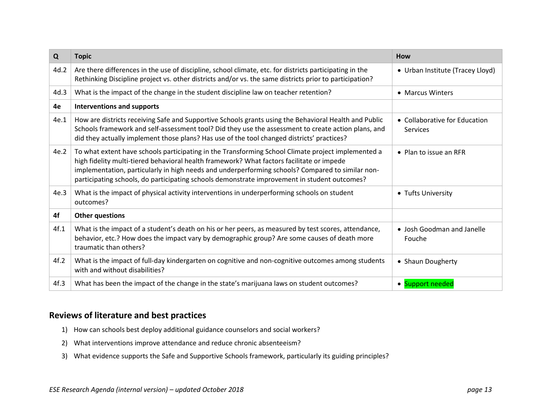| Q    | <b>Topic</b>                                                                                                                                                                                                                                                                                                                                                                                        | How                                       |
|------|-----------------------------------------------------------------------------------------------------------------------------------------------------------------------------------------------------------------------------------------------------------------------------------------------------------------------------------------------------------------------------------------------------|-------------------------------------------|
| 4d.2 | Are there differences in the use of discipline, school climate, etc. for districts participating in the<br>Rethinking Discipline project vs. other districts and/or vs. the same districts prior to participation?                                                                                                                                                                                  | • Urban Institute (Tracey Lloyd)          |
| 4d.3 | What is the impact of the change in the student discipline law on teacher retention?                                                                                                                                                                                                                                                                                                                | • Marcus Winters                          |
| 4e   | <b>Interventions and supports</b>                                                                                                                                                                                                                                                                                                                                                                   |                                           |
| 4e.1 | How are districts receiving Safe and Supportive Schools grants using the Behavioral Health and Public<br>Schools framework and self-assessment tool? Did they use the assessment to create action plans, and<br>did they actually implement those plans? Has use of the tool changed districts' practices?                                                                                          | • Collaborative for Education<br>Services |
| 4e.2 | To what extent have schools participating in the Transforming School Climate project implemented a<br>high fidelity multi-tiered behavioral health framework? What factors facilitate or impede<br>implementation, particularly in high needs and underperforming schools? Compared to similar non-<br>participating schools, do participating schools demonstrate improvement in student outcomes? | $\bullet$ Plan to issue an RFR            |
| 4e.3 | What is the impact of physical activity interventions in underperforming schools on student<br>outcomes?                                                                                                                                                                                                                                                                                            | • Tufts University                        |
| 4f   | <b>Other questions</b>                                                                                                                                                                                                                                                                                                                                                                              |                                           |
| 4f.1 | What is the impact of a student's death on his or her peers, as measured by test scores, attendance,<br>behavior, etc.? How does the impact vary by demographic group? Are some causes of death more<br>traumatic than others?                                                                                                                                                                      | • Josh Goodman and Janelle<br>Fouche      |
| 4f.2 | What is the impact of full-day kindergarten on cognitive and non-cognitive outcomes among students<br>with and without disabilities?                                                                                                                                                                                                                                                                | • Shaun Dougherty                         |
| 4f.3 | What has been the impact of the change in the state's marijuana laws on student outcomes?                                                                                                                                                                                                                                                                                                           | • Support needed                          |

- 1) How can schools best deploy additional guidance counselors and social workers?
- 2) What interventions improve attendance and reduce chronic absenteeism?
- 3) What evidence supports the Safe and Supportive Schools framework, particularly its guiding principles?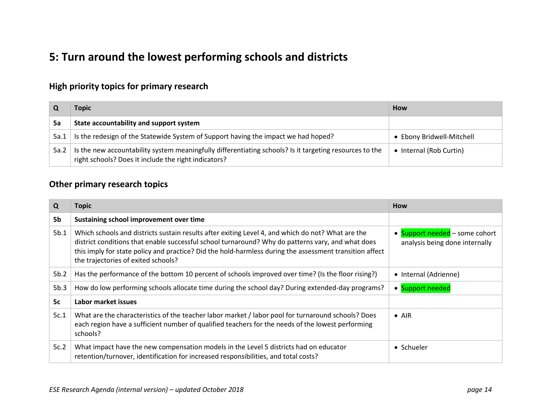## **5: Turn around the lowest performing schools and districts**

### **High priority topics for primary research**

|      | Topic                                                                                                                                                           | How                       |
|------|-----------------------------------------------------------------------------------------------------------------------------------------------------------------|---------------------------|
| 5a   | State accountability and support system                                                                                                                         |                           |
| 5a.1 | Is the redesign of the Statewide System of Support having the impact we had hoped?                                                                              | • Ebony Bridwell-Mitchell |
| 5a.2 | Is the new accountability system meaningfully differentiating schools? Is it targeting resources to the<br>right schools? Does it include the right indicators? | • Internal (Rob Curtin)   |

| Q    | Topic                                                                                                                                                                                                                                                                                                                                                    | <b>How</b>                                                       |
|------|----------------------------------------------------------------------------------------------------------------------------------------------------------------------------------------------------------------------------------------------------------------------------------------------------------------------------------------------------------|------------------------------------------------------------------|
| 5b   | Sustaining school improvement over time                                                                                                                                                                                                                                                                                                                  |                                                                  |
| 5b.1 | Which schools and districts sustain results after exiting Level 4, and which do not? What are the<br>district conditions that enable successful school turnaround? Why do patterns vary, and what does<br>this imply for state policy and practice? Did the hold-harmless during the assessment transition affect<br>the trajectories of exited schools? | • Support needed – some cohort<br>analysis being done internally |
| 5b.2 | Has the performance of the bottom 10 percent of schools improved over time? (Is the floor rising?)                                                                                                                                                                                                                                                       | • Internal (Adrienne)                                            |
| 5b.3 | How do low performing schools allocate time during the school day? During extended-day programs?                                                                                                                                                                                                                                                         | • Support needed                                                 |
| 5c   | Labor market issues                                                                                                                                                                                                                                                                                                                                      |                                                                  |
| 5c.1 | What are the characteristics of the teacher labor market / labor pool for turnaround schools? Does<br>each region have a sufficient number of qualified teachers for the needs of the lowest performing<br>schools?                                                                                                                                      | $\bullet$ AIR                                                    |
| 5c.2 | What impact have the new compensation models in the Level 5 districts had on educator<br>retention/turnover, identification for increased responsibilities, and total costs?                                                                                                                                                                             | • Schueler                                                       |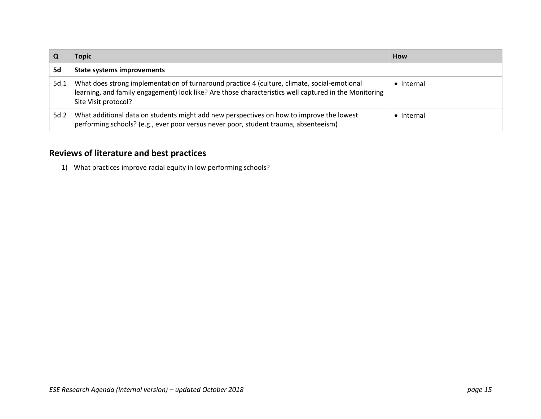|      | Topic                                                                                                                                                                                                                         | How                |
|------|-------------------------------------------------------------------------------------------------------------------------------------------------------------------------------------------------------------------------------|--------------------|
| 5d   | <b>State systems improvements</b>                                                                                                                                                                                             |                    |
| 5d.1 | What does strong implementation of turnaround practice 4 (culture, climate, social-emotional<br>learning, and family engagement) look like? Are those characteristics well captured in the Monitoring<br>Site Visit protocol? | $\bullet$ Internal |
| 5d.2 | What additional data on students might add new perspectives on how to improve the lowest<br>performing schools? (e.g., ever poor versus never poor, student trauma, absenteeism)                                              | $\bullet$ Internal |

1) What practices improve racial equity in low performing schools?